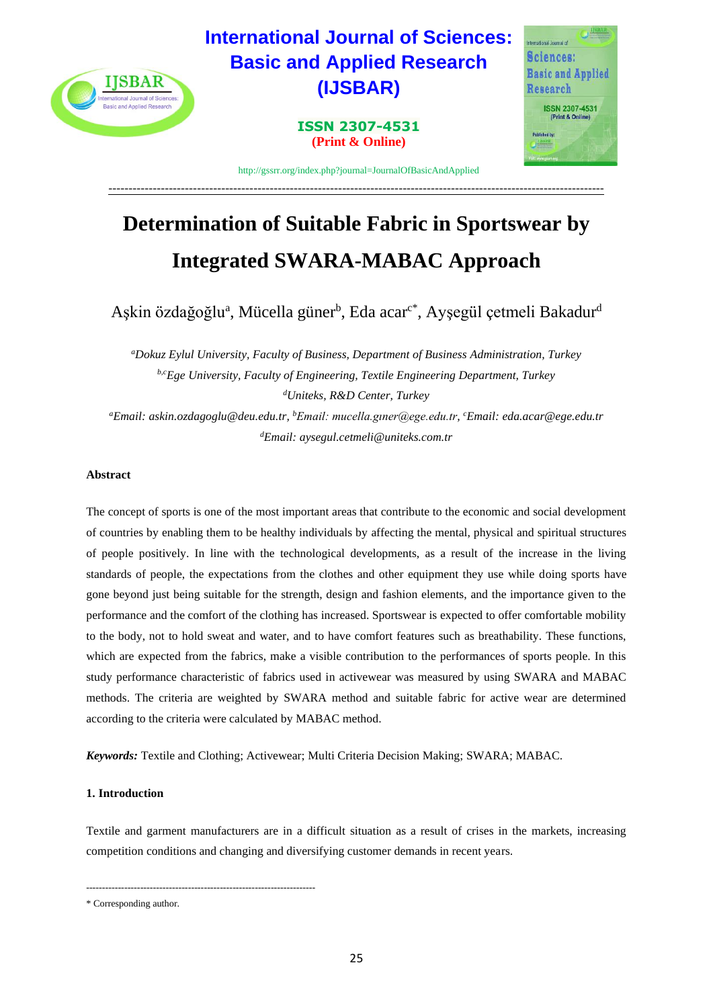

# **Determination of Suitable Fabric in Sportswear by Integrated SWARA-MABAC Approach**

Aşkin özdağoğlu<sup>a</sup>, Mücella güner<sup>b</sup>, Eda acar<sup>c\*</sup>, Ayşegül çetmeli Bakadur<sup>d</sup>

*<sup>a</sup>Dokuz Eylul University, Faculty of Business, Department of Business Administration, Turkey b,cEge University, Faculty of Engineering, Textile Engineering Department, Turkey <sup>d</sup>Uniteks, R&D Center, Turkey <sup>a</sup>Email: askin.ozdagoglu@deu.edu.tr, <sup>b</sup>Email: mucella.gıner@ege.edu.tr, <sup>c</sup>Email[: eda.acar@ege.edu.tr](mailto:eda.acar@ege.edu.tr)*

*<sup>d</sup>Email: aysegul.cetmeli@uniteks.com.tr*

## **Abstract**

The concept of sports is one of the most important areas that contribute to the economic and social development of countries by enabling them to be healthy individuals by affecting the mental, physical and spiritual structures of people positively. In line with the technological developments, as a result of the increase in the living standards of people, the expectations from the clothes and other equipment they use while doing sports have gone beyond just being suitable for the strength, design and fashion elements, and the importance given to the performance and the comfort of the clothing has increased. Sportswear is expected to offer comfortable mobility to the body, not to hold sweat and water, and to have comfort features such as breathability. These functions, which are expected from the fabrics, make a visible contribution to the performances of sports people. In this study performance characteristic of fabrics used in activewear was measured by using SWARA and MABAC methods. The criteria are weighted by SWARA method and suitable fabric for active wear are determined according to the criteria were calculated by MABAC method.

*Keywords:* Textile and Clothing; Activewear; Multi Criteria Decision Making; SWARA; MABAC.

## **1. Introduction**

Textile and garment manufacturers are in a difficult situation as a result of crises in the markets, increasing competition conditions and changing and diversifying customer demands in recent years.

------------------------------------------------------------------------

<sup>\*</sup> Corresponding author.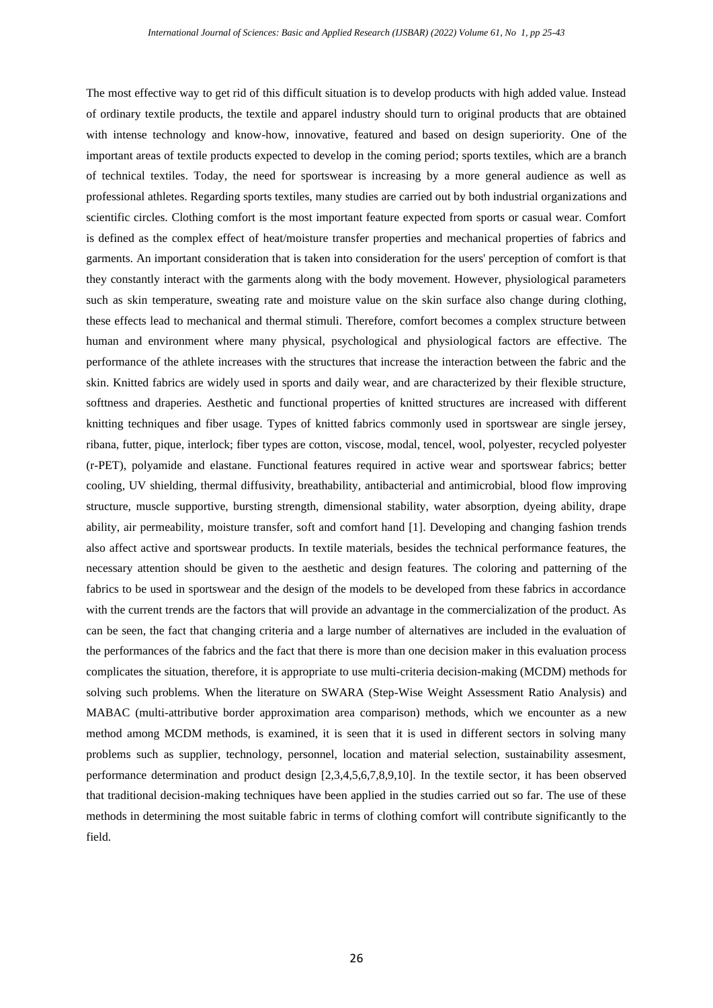The most effective way to get rid of this difficult situation is to develop products with high added value. Instead of ordinary textile products, the textile and apparel industry should turn to original products that are obtained with intense technology and know-how, innovative, featured and based on design superiority. One of the important areas of textile products expected to develop in the coming period; sports textiles, which are a branch of technical textiles. Today, the need for sportswear is increasing by a more general audience as well as professional athletes. Regarding sports textiles, many studies are carried out by both industrial organizations and scientific circles. Clothing comfort is the most important feature expected from sports or casual wear. Comfort is defined as the complex effect of heat/moisture transfer properties and mechanical properties of fabrics and garments. An important consideration that is taken into consideration for the users' perception of comfort is that they constantly interact with the garments along with the body movement. However, physiological parameters such as skin temperature, sweating rate and moisture value on the skin surface also change during clothing, these effects lead to mechanical and thermal stimuli. Therefore, comfort becomes a complex structure between human and environment where many physical, psychological and physiological factors are effective. The performance of the athlete increases with the structures that increase the interaction between the fabric and the skin. Knitted fabrics are widely used in sports and daily wear, and are characterized by their flexible structure, softtness and draperies. Aesthetic and functional properties of knitted structures are increased with different knitting techniques and fiber usage. Types of knitted fabrics commonly used in sportswear are single jersey, ribana, futter, pique, interlock; fiber types are cotton, viscose, modal, tencel, wool, polyester, recycled polyester (r-PET), polyamide and elastane. Functional features required in active wear and sportswear fabrics; better cooling, UV shielding, thermal diffusivity, breathability, antibacterial and antimicrobial, blood flow improving structure, muscle supportive, bursting strength, dimensional stability, water absorption, dyeing ability, drape ability, air permeability, moisture transfer, soft and comfort hand [1]. Developing and changing fashion trends also affect active and sportswear products. In textile materials, besides the technical performance features, the necessary attention should be given to the aesthetic and design features. The coloring and patterning of the fabrics to be used in sportswear and the design of the models to be developed from these fabrics in accordance with the current trends are the factors that will provide an advantage in the commercialization of the product. As can be seen, the fact that changing criteria and a large number of alternatives are included in the evaluation of the performances of the fabrics and the fact that there is more than one decision maker in this evaluation process complicates the situation, therefore, it is appropriate to use multi-criteria decision-making (MCDM) methods for solving such problems. When the literature on SWARA (Step-Wise Weight Assessment Ratio Analysis) and MABAC (multi-attributive border approximation area comparison) methods, which we encounter as a new method among MCDM methods, is examined, it is seen that it is used in different sectors in solving many problems such as supplier, technology, personnel, location and material selection, sustainability assesment, performance determination and product design [2,3,4,5,6,7,8,9,10]. In the textile sector, it has been observed that traditional decision-making techniques have been applied in the studies carried out so far. The use of these methods in determining the most suitable fabric in terms of clothing comfort will contribute significantly to the field.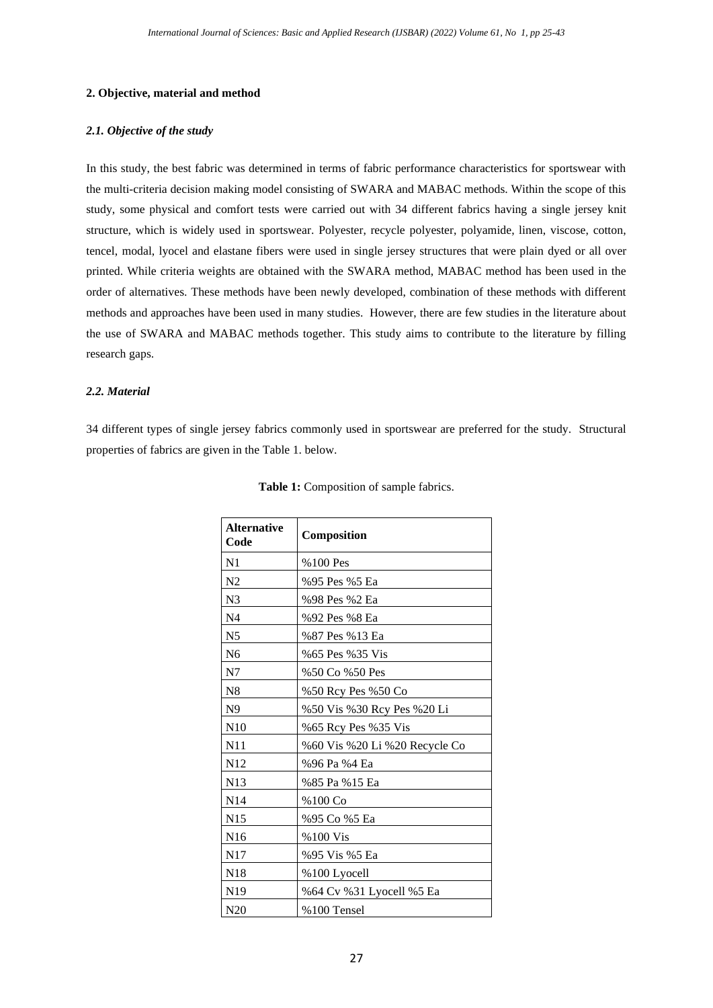## **2. Objective, material and method**

## *2.1. Objective of the study*

In this study, the best fabric was determined in terms of fabric performance characteristics for sportswear with the multi-criteria decision making model consisting of SWARA and MABAC methods. Within the scope of this study, some physical and comfort tests were carried out with 34 different fabrics having a single jersey knit structure, which is widely used in sportswear. Polyester, recycle polyester, polyamide, linen, viscose, cotton, tencel, modal, lyocel and elastane fibers were used in single jersey structures that were plain dyed or all over printed. While criteria weights are obtained with the SWARA method, MABAC method has been used in the order of alternatives. These methods have been newly developed, combination of these methods with different methods and approaches have been used in many studies. However, there are few studies in the literature about the use of SWARA and MABAC methods together. This study aims to contribute to the literature by filling research gaps.

## *2.2. Material*

34 different types of single jersey fabrics commonly used in sportswear are preferred for the study. Structural properties of fabrics are given in the Table 1. below.

| <b>Alternative</b><br>Code | Composition                   |
|----------------------------|-------------------------------|
| N <sub>1</sub>             | %100 Pes                      |
| N <sub>2</sub>             | %95 Pes %5 Ea                 |
| N <sub>3</sub>             | %98 Pes %2 Ea                 |
| N <sub>4</sub>             | %92 Pes %8 Ea                 |
| N <sub>5</sub>             | %87 Pes %13 Ea                |
| N <sub>6</sub>             | %65 Pes %35 Vis               |
| N7                         | %50 Co %50 Pes                |
| N8                         | %50 Rcy Pes %50 Co            |
| N <sub>9</sub>             | %50 Vis %30 Rcy Pes %20 Li    |
| N10                        | %65 Rcy Pes %35 Vis           |
| N11                        | %60 Vis %20 Li %20 Recycle Co |
| N <sub>12</sub>            | %96 Pa %4 Ea                  |
| N13                        | %85 Pa %15 Ea                 |
| N <sub>14</sub>            | %100 Co                       |
| N15                        | %95 Co %5 Ea                  |
| N <sub>16</sub>            | %100 Vis                      |
| N <sub>17</sub>            | %95 Vis %5 Ea                 |
| N18                        | %100 Lyocell                  |
| N19                        | %64 Cv %31 Lyocell %5 Ea      |
| N20                        | %100 Tensel                   |

#### **Table 1:** Composition of sample fabrics.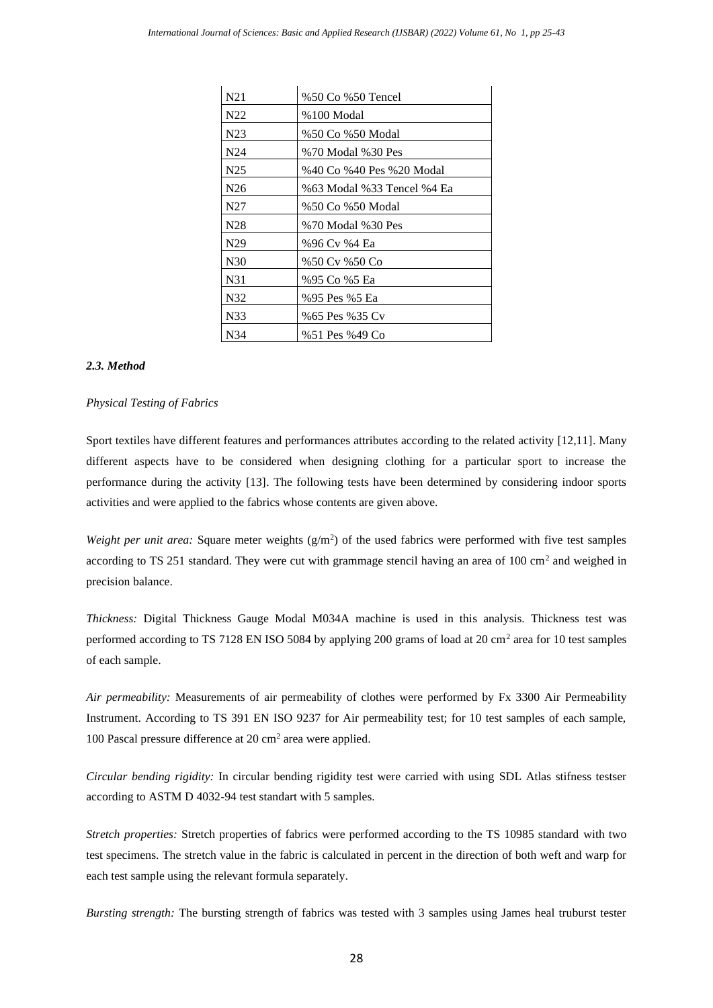| N <sub>21</sub>  | %50 Co %50 Tencel          |
|------------------|----------------------------|
| N <sub>22</sub>  | %100 Modal                 |
| N <sub>2</sub> 3 | %50 Co %50 Modal           |
| N <sub>24</sub>  | %70 Modal %30 Pes          |
| N <sub>25</sub>  | %40 Co %40 Pes %20 Modal   |
| N <sub>26</sub>  | %63 Modal %33 Tencel %4 Ea |
| N <sub>27</sub>  | %50 Co %50 Modal           |
| N <sub>28</sub>  | %70 Modal %30 Pes          |
| N <sub>29</sub>  | %96 Cv %4 Ea               |
| N30              | %50 Cv %50 Co              |
| N31              | %95 Co %5 Ea               |
| N32              | %95 Pes %5 Ea              |
| N33              | %65 Pes %35 Cv             |
| N34              | %51 Pes %49 Co             |

## *2.3. Method*

## *Physical Testing of Fabrics*

Sport textiles have different features and performances attributes according to the related activity [12,11]. Many different aspects have to be considered when designing clothing for a particular sport to increase the performance during the activity [13]. The following tests have been determined by considering indoor sports activities and were applied to the fabrics whose contents are given above.

*Weight per unit area:* Square meter weights  $(g/m^2)$  of the used fabrics were performed with five test samples according to TS 251 standard. They were cut with grammage stencil having an area of  $100 \text{ cm}^2$  and weighed in precision balance.

*Thickness:* Digital Thickness Gauge Modal M034A machine is used in this analysis. Thickness test was performed according to TS 7128 EN ISO 5084 by applying 200 grams of load at 20 cm<sup>2</sup> area for 10 test samples of each sample.

*Air permeability:* Measurements of air permeability of clothes were performed by Fx 3300 Air Permeability Instrument. According to TS 391 EN ISO 9237 for Air permeability test; for 10 test samples of each sample, 100 Pascal pressure difference at 20 cm<sup>2</sup> area were applied.

*Circular bending rigidity:* In circular bending rigidity test were carried with using SDL Atlas stifness testser according to ASTM D 4032-94 test standart with 5 samples.

*Stretch properties:* Stretch properties of fabrics were performed according to the TS 10985 standard with two test specimens. The stretch value in the fabric is calculated in percent in the direction of both weft and warp for each test sample using the relevant formula separately.

*Bursting strength:* The bursting strength of fabrics was tested with 3 samples using James heal truburst tester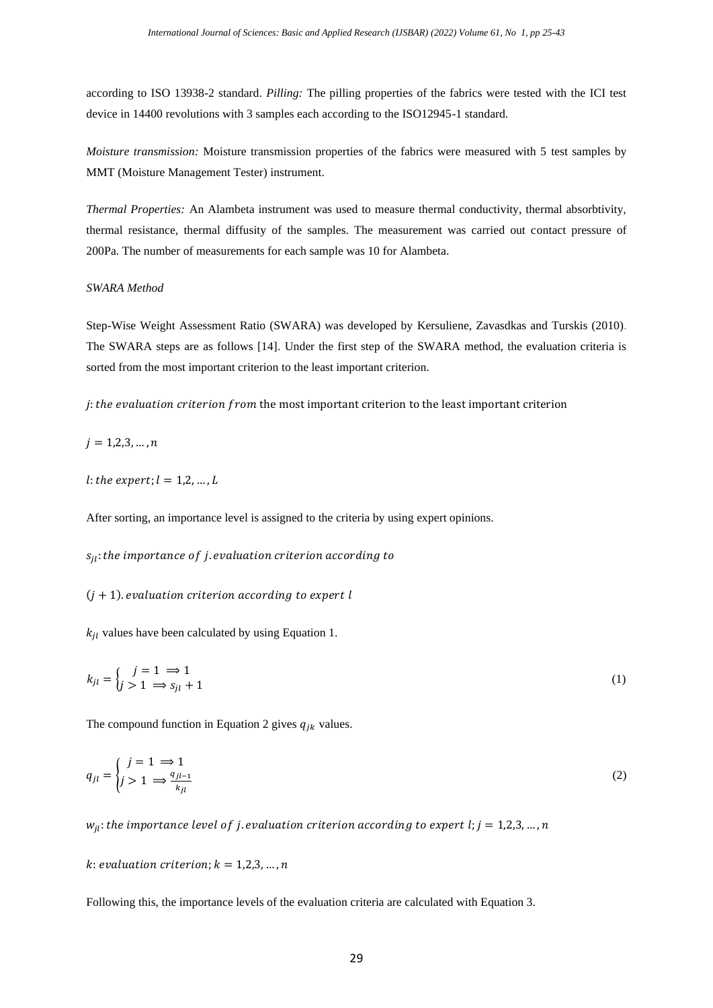according to ISO 13938-2 standard. *Pilling:* The pilling properties of the fabrics were tested with the ICI test device in 14400 revolutions with 3 samples each according to the ISO12945-1 standard.

*Moisture transmission:* Moisture transmission properties of the fabrics were measured with 5 test samples by MMT (Moisture Management Tester) instrument.

*Thermal Properties:* An Alambeta instrument was used to measure thermal conductivity, thermal absorbtivity, thermal resistance, thermal diffusity of the samples. The measurement was carried out contact pressure of 200Pa. The number of measurements for each sample was 10 for Alambeta.

#### *SWARA Method*

Step-Wise Weight Assessment Ratio (SWARA) was developed by Kersuliene, Zavasdkas and Turskis (2010). The SWARA steps are as follows [14]. Under the first step of the SWARA method, the evaluation criteria is sorted from the most important criterion to the least important criterion.

 $i$ : the evaluation criterion from the most important criterion to the least important criterion

$$
j=1,2,3,\ldots,n
$$

 $l:$  the expert:  $l = 1, 2, ..., L$ 

After sorting, an importance level is assigned to the criteria by using expert opinions.

 $s_{il}$ : the importance of j. evaluation criterion according to

## $(j + 1)$ . evaluation criterion according to expert l

 $k_{il}$  values have been calculated by using Equation 1.

$$
k_{jl} = \begin{cases} j = 1 \implies 1\\ j > 1 \implies s_{jl} + 1 \end{cases}
$$
 (1)

The compound function in Equation 2 gives  $q_{jk}$  values.

$$
q_{jl} = \begin{cases} j = 1 & \implies 1 \\ j > 1 \implies \frac{q_{jl-1}}{k_{jl}} \end{cases} \tag{2}
$$

 $w_{ii}$ : the importance level of j. evaluation criterion according to expert l; j = 1,2,3, ..., n

 $k: evaluation criterion; k = 1,2,3,...,n$ 

Following this, the importance levels of the evaluation criteria are calculated with Equation 3.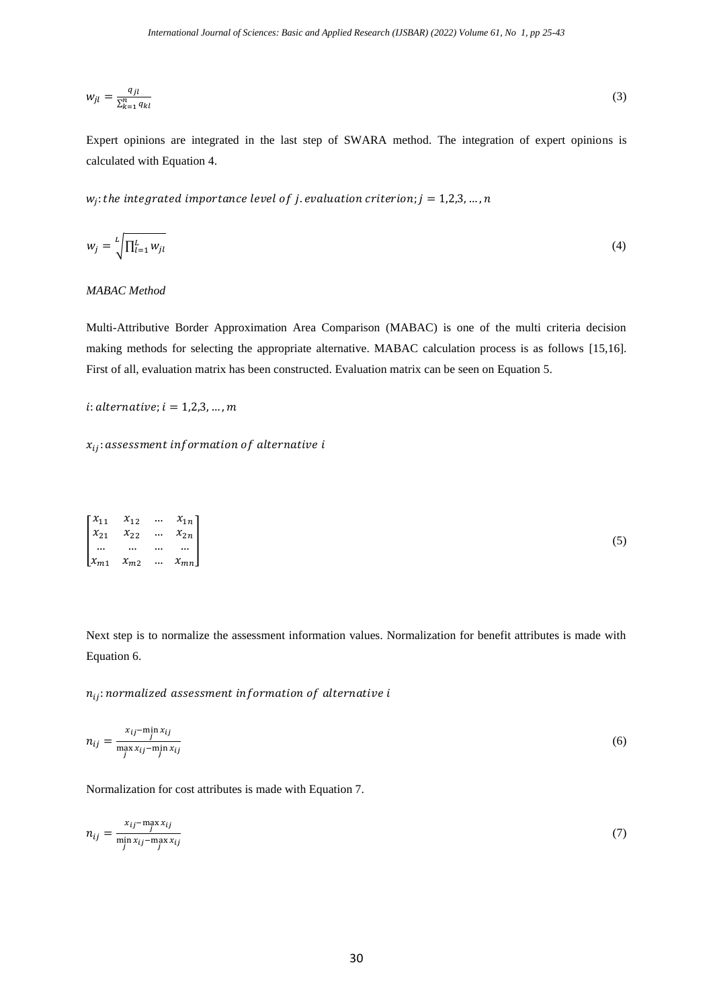$$
w_{jl} = \frac{q_{jl}}{\sum_{k=1}^{n} q_{kl}}\tag{3}
$$

Expert opinions are integrated in the last step of SWARA method. The integration of expert opinions is calculated with Equation 4.

w<sub>j</sub>: the integrated importance level of j. evaluation criterion; j = 1,2,3, ... , n

$$
w_j = \sqrt[L]{\prod_{l=1}^L w_{jl}} \tag{4}
$$

## *MABAC Method*

Multi-Attributive Border Approximation Area Comparison (MABAC) is one of the multi criteria decision making methods for selecting the appropriate alternative. MABAC calculation process is as follows [15,16]. First of all, evaluation matrix has been constructed. Evaluation matrix can be seen on Equation 5.

 $i: alternative; i = 1,2,3,...,m$ 

 $x_{ij}$ : assessment information of alternative i

| $\begin{bmatrix} x_{11} & x_{12} & \dots & x_{1n} \end{bmatrix}$ |                                  |                          |
|------------------------------------------------------------------|----------------------------------|--------------------------|
| $x_{21}$ $x_{22}$ $x_{2n}$                                       |                                  |                          |
| $\sim 100$                                                       | $\sim$ 0.000 $\sim$ 0.000 $\sim$ | <b>Contract Contract</b> |
| $\begin{bmatrix} x_{m1} & x_{m2} & \dots & x_{mn} \end{bmatrix}$ |                                  |                          |

Next step is to normalize the assessment information values. Normalization for benefit attributes is made with Equation 6.

 $n_{ij}$ : normalized assessment information of alternative i

$$
n_{ij} = \frac{x_{ij} - \min_j x_{ij}}{\max_j x_{ij} - \min_j x_{ij}}
$$
(6)

Normalization for cost attributes is made with Equation 7.

$$
n_{ij} = \frac{x_{ij} - \max_j x_{ij}}{\min_j x_{ij} - \max_j x_{ij}}
$$
(7)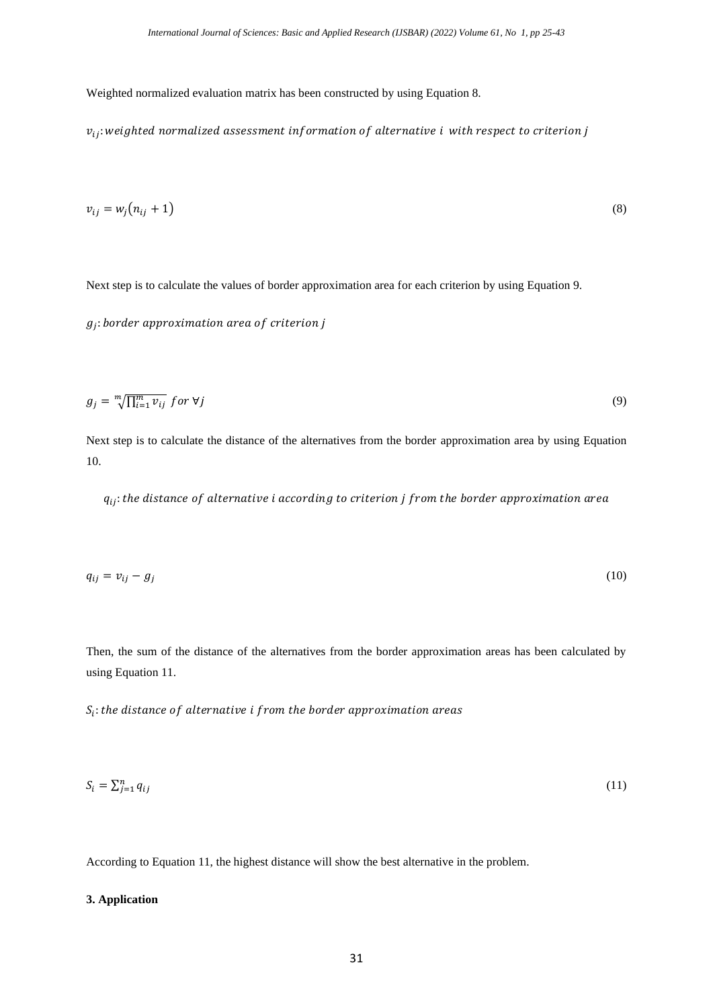Weighted normalized evaluation matrix has been constructed by using Equation 8.

 $v_{ij}$ : weighted normalized assessment information of alternative i with respect to criterion j

$$
v_{ij} = w_j \left( n_{ij} + 1 \right) \tag{8}
$$

Next step is to calculate the values of border approximation area for each criterion by using Equation 9.

 $g_j$ : border approximation area of criterion j

$$
g_j = \sqrt[m]{\prod_{i=1}^m v_{ij}} \ for \ \forall j
$$

Next step is to calculate the distance of the alternatives from the border approximation area by using Equation 10.

 $q_{ij}$ : the distance of alternative i according to criterion j from the border approximation area

$$
q_{ij} = v_{ij} - g_j \tag{10}
$$

Then, the sum of the distance of the alternatives from the border approximation areas has been calculated by using Equation 11.

 $\mathit{S}_i$ : the distance of alternative i from the border approximation areas

$$
S_i = \sum_{j=1}^n q_{ij} \tag{11}
$$

According to Equation 11, the highest distance will show the best alternative in the problem.

# **3. Application**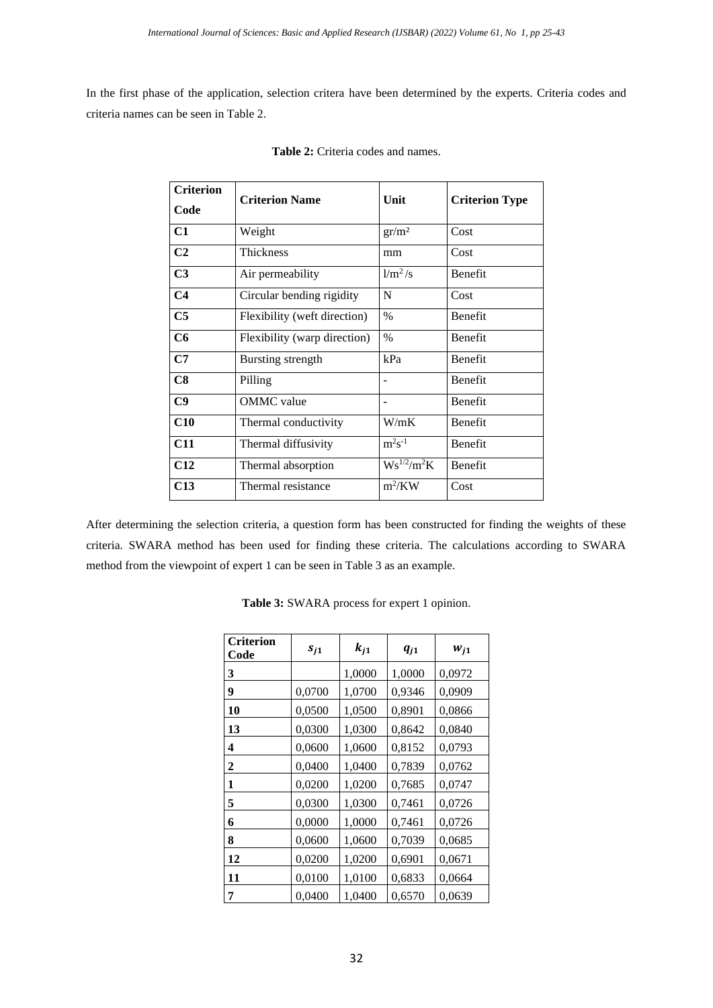In the first phase of the application, selection critera have been determined by the experts. Criteria codes and criteria names can be seen in Table 2.

| <b>Criterion</b><br>Code | <b>Criterion Name</b>        | Unit              | <b>Criterion Type</b> |
|--------------------------|------------------------------|-------------------|-----------------------|
| C1                       | Weight                       | gr/m <sup>2</sup> | Cost                  |
| C <sub>2</sub>           | Thickness                    | mm                | Cost                  |
| C <sub>3</sub>           | Air permeability             | $1/m^2/s$         | <b>Benefit</b>        |
| C <sub>4</sub>           | Circular bending rigidity    | N                 | Cost                  |
| C <sub>5</sub>           | Flexibility (weft direction) | $\%$              | Benefit               |
| C6                       | Flexibility (warp direction) | $\%$              | <b>Benefit</b>        |
| C <sub>7</sub>           | Bursting strength            | kPa               | <b>Benefit</b>        |
| C8                       | Pilling                      |                   | Benefit               |
| C9                       | <b>OMMC</b> value            |                   | <b>Benefit</b>        |
| C10                      | Thermal conductivity         | W/mK              | <b>Benefit</b>        |
| C11                      | Thermal diffusivity          | $m^2s^{-1}$       | Benefit               |
| C12                      | Thermal absorption           | $Ws^{1/2}/m^2K$   | Benefit               |
| C13                      | Thermal resistance           | $m^2/KW$          | Cost                  |

| <b>Table 2:</b> Criteria codes and names. |  |
|-------------------------------------------|--|
|-------------------------------------------|--|

After determining the selection criteria, a question form has been constructed for finding the weights of these criteria. SWARA method has been used for finding these criteria. The calculations according to SWARA method from the viewpoint of expert 1 can be seen in Table 3 as an example.

| <b>Criterion</b><br>Code | $s_{j1}$ | $k_{j1}$ | $q_{j1}$ | $W_{j1}$ |
|--------------------------|----------|----------|----------|----------|
| 3                        |          | 1,0000   | 1,0000   | 0,0972   |
| 9                        | 0,0700   | 1,0700   | 0,9346   | 0,0909   |
| 10                       | 0,0500   | 1,0500   | 0,8901   | 0,0866   |
| 13                       | 0,0300   | 1,0300   | 0,8642   | 0,0840   |
| 4                        | 0,0600   | 1,0600   | 0,8152   | 0,0793   |
| $\overline{2}$           | 0,0400   | 1,0400   | 0,7839   | 0,0762   |
| 1                        | 0,0200   | 1,0200   | 0,7685   | 0,0747   |
| 5                        | 0,0300   | 1,0300   | 0,7461   | 0,0726   |
| 6                        | 0,0000   | 1,0000   | 0,7461   | 0,0726   |
| 8                        | 0,0600   | 1,0600   | 0,7039   | 0,0685   |
| 12                       | 0,0200   | 1,0200   | 0,6901   | 0,0671   |
| 11                       | 0,0100   | 1,0100   | 0,6833   | 0,0664   |
| 7                        | 0,0400   | 1,0400   | 0,6570   | 0,0639   |

**Table 3:** SWARA process for expert 1 opinion.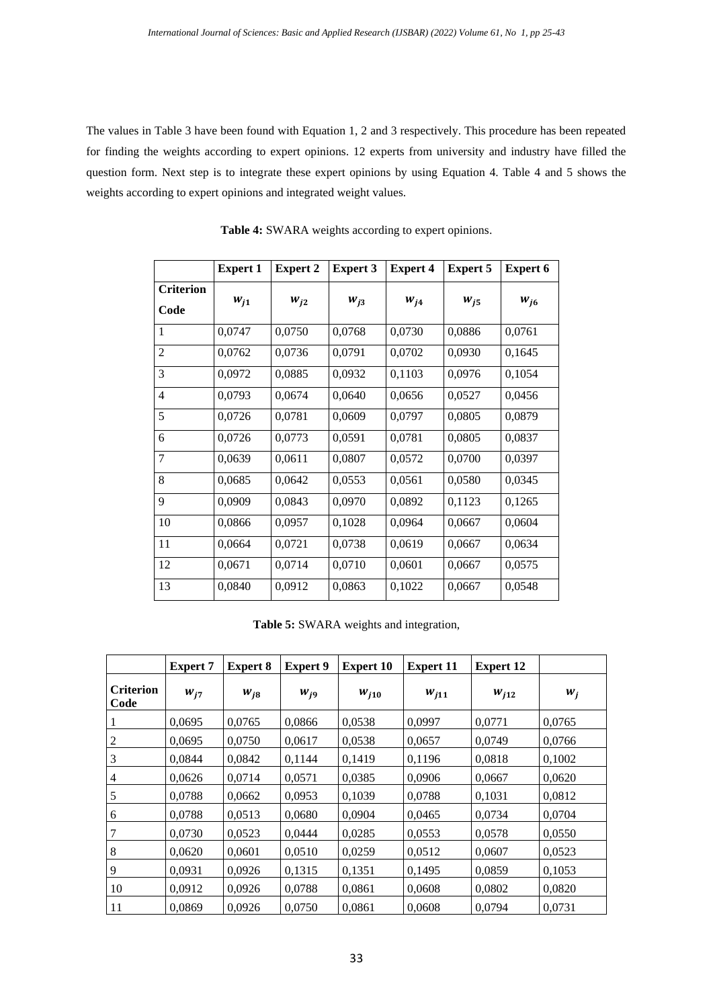The values in Table 3 have been found with Equation 1, 2 and 3 respectively. This procedure has been repeated for finding the weights according to expert opinions. 12 experts from university and industry have filled the question form. Next step is to integrate these expert opinions by using Equation 4. Table 4 and 5 shows the weights according to expert opinions and integrated weight values.

|                          | <b>Expert 1</b> | <b>Expert 2</b> | <b>Expert 3</b> | <b>Expert 4</b> | <b>Expert 5</b> | <b>Expert 6</b> |
|--------------------------|-----------------|-----------------|-----------------|-----------------|-----------------|-----------------|
| <b>Criterion</b><br>Code | $W_{j1}$        | $W_{i2}$        | $W_{j3}$        | $W_{j4}$        | $W_{j5}$        | $W_{j6}$        |
| 1                        | 0,0747          | 0,0750          | 0,0768          | 0,0730          | 0,0886          | 0,0761          |
| $\overline{2}$           | 0,0762          | 0,0736          | 0,0791          | 0,0702          | 0,0930          | 0,1645          |
| 3                        | 0,0972          | 0,0885          | 0,0932          | 0,1103          | 0,0976          | 0,1054          |
| $\overline{4}$           | 0,0793          | 0,0674          | 0,0640          | 0,0656          | 0,0527          | 0,0456          |
| 5                        | 0,0726          | 0,0781          | 0,0609          | 0,0797          | 0,0805          | 0,0879          |
| 6                        | 0,0726          | 0,0773          | 0,0591          | 0,0781          | 0,0805          | 0,0837          |
| 7                        | 0,0639          | 0,0611          | 0,0807          | 0,0572          | 0,0700          | 0,0397          |
| 8                        | 0,0685          | 0,0642          | 0,0553          | 0,0561          | 0,0580          | 0,0345          |
| 9                        | 0,0909          | 0,0843          | 0,0970          | 0,0892          | 0,1123          | 0,1265          |
| 10                       | 0,0866          | 0,0957          | 0,1028          | 0,0964          | 0,0667          | 0,0604          |
| 11                       | 0,0664          | 0,0721          | 0,0738          | 0,0619          | 0,0667          | 0,0634          |
| 12                       | 0,0671          | 0,0714          | 0,0710          | 0,0601          | 0,0667          | 0,0575          |
| 13                       | 0,0840          | 0,0912          | 0,0863          | 0,1022          | 0,0667          | 0,0548          |

**Table 4:** SWARA weights according to expert opinions.

**Table 5:** SWARA weights and integration,

|                          | <b>Expert 7</b> | <b>Expert 8</b> | <b>Expert 9</b> | <b>Expert 10</b> | <b>Expert 11</b> | <b>Expert 12</b> |        |
|--------------------------|-----------------|-----------------|-----------------|------------------|------------------|------------------|--------|
| <b>Criterion</b><br>Code | $W_{j7}$        | $W_{j8}$        | $W_{j9}$        | $W_{j10}$        | $W_{j11}$        | $W_{j12}$        | $W_j$  |
|                          | 0,0695          | 0,0765          | 0,0866          | 0,0538           | 0,0997           | 0,0771           | 0,0765 |
| 2                        | 0,0695          | 0,0750          | 0,0617          | 0,0538           | 0,0657           | 0,0749           | 0,0766 |
| 3                        | 0,0844          | 0,0842          | 0,1144          | 0,1419           | 0,1196           | 0,0818           | 0,1002 |
| 4                        | 0,0626          | 0,0714          | 0,0571          | 0,0385           | 0,0906           | 0,0667           | 0,0620 |
| 5                        | 0,0788          | 0,0662          | 0,0953          | 0,1039           | 0,0788           | 0,1031           | 0,0812 |
| 6                        | 0,0788          | 0,0513          | 0,0680          | 0,0904           | 0,0465           | 0,0734           | 0,0704 |
|                          | 0,0730          | 0,0523          | 0,0444          | 0,0285           | 0,0553           | 0,0578           | 0,0550 |
| 8                        | 0,0620          | 0,0601          | 0,0510          | 0,0259           | 0,0512           | 0,0607           | 0,0523 |
| 9                        | 0,0931          | 0,0926          | 0,1315          | 0,1351           | 0,1495           | 0,0859           | 0,1053 |
| 10                       | 0,0912          | 0,0926          | 0,0788          | 0,0861           | 0,0608           | 0,0802           | 0,0820 |
| 11                       | 0,0869          | 0,0926          | 0,0750          | 0,0861           | 0,0608           | 0,0794           | 0,0731 |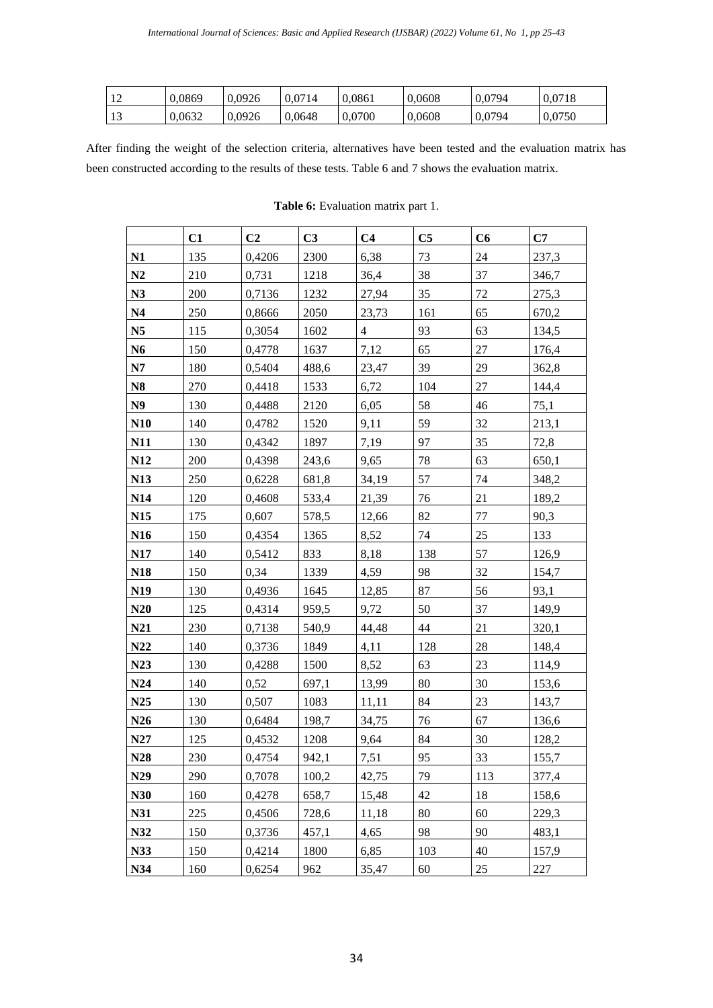| 1 <sub>0</sub><br><b>I</b> | 0.0869 | 0.0926 | 0.0714 | 0.0861 | 0.0608 | 0,0794 | 0.0718 |
|----------------------------|--------|--------|--------|--------|--------|--------|--------|
| $\sim$<br>. .              | 0.0632 | 0,0926 | 0.0648 | 0,0700 | 0,0608 | 0,0794 | 0,0750 |

After finding the weight of the selection criteria, alternatives have been tested and the evaluation matrix has been constructed according to the results of these tests. Table 6 and 7 shows the evaluation matrix.

|                 | C1  | C <sub>2</sub> | C <sub>3</sub> | C <sub>4</sub> | C <sub>5</sub> | C6      | C7    |
|-----------------|-----|----------------|----------------|----------------|----------------|---------|-------|
| N1              | 135 | 0,4206         | 2300           | 6,38           | 73             | 24      | 237,3 |
| N2              | 210 | 0,731          | 1218           | 36,4           | 38             | 37      | 346,7 |
| N3              | 200 | 0,7136         | 1232           | 27,94          | 35             | 72      | 275,3 |
| N <sub>4</sub>  | 250 | 0,8666         | 2050           | 23,73          | 161            | 65      | 670,2 |
| N <sub>5</sub>  | 115 | 0,3054         | 1602           | $\overline{4}$ | 93             | 63      | 134,5 |
| N6              | 150 | 0,4778         | 1637           | 7,12           | 65             | $27\,$  | 176,4 |
| N7              | 180 | 0,5404         | 488,6          | 23,47          | 39             | 29      | 362,8 |
| N8              | 270 | 0,4418         | 1533           | 6,72           | 104            | 27      | 144,4 |
| N9              | 130 | 0,4488         | 2120           | 6,05           | 58             | 46      | 75,1  |
| N10             | 140 | 0,4782         | 1520           | 9,11           | 59             | 32      | 213,1 |
| N11             | 130 | 0,4342         | 1897           | 7,19           | 97             | 35      | 72,8  |
| N12             | 200 | 0,4398         | 243,6          | 9,65           | 78             | 63      | 650,1 |
| N13             | 250 | 0,6228         | 681,8          | 34,19          | 57             | 74      | 348,2 |
| N14             | 120 | 0,4608         | 533,4          | 21,39          | 76             | 21      | 189,2 |
| N <sub>15</sub> | 175 | 0,607          | 578,5          | 12,66          | 82             | $77 \,$ | 90,3  |
| N16             | 150 | 0,4354         | 1365           | 8,52           | 74             | 25      | 133   |
| N17             | 140 | 0,5412         | 833            | 8,18           | 138            | 57      | 126,9 |
| N18             | 150 | 0,34           | 1339           | 4,59           | 98             | 32      | 154,7 |
| N19             | 130 | 0,4936         | 1645           | 12,85          | 87             | 56      | 93,1  |
| N20             | 125 | 0,4314         | 959,5          | 9,72           | $50\,$         | 37      | 149,9 |
| N21             | 230 | 0,7138         | 540,9          | 44,48          | 44             | 21      | 320,1 |
| N22             | 140 | 0,3736         | 1849           | 4,11           | 128            | 28      | 148,4 |
| N23             | 130 | 0,4288         | 1500           | 8,52           | 63             | 23      | 114,9 |
| N24             | 140 | 0,52           | 697,1          | 13,99          | 80             | 30      | 153,6 |
| N25             | 130 | 0,507          | 1083           | 11,11          | 84             | 23      | 143,7 |
| N26             | 130 | 0,6484         | 198,7          | 34,75          | 76             | 67      | 136,6 |
| N27             | 125 | 0,4532         | 1208           | 9,64           | 84             | 30      | 128,2 |
| N28             | 230 | 0,4754         | 942,1          | 7,51           | 95             | 33      | 155,7 |
| N29             | 290 | 0,7078         | 100,2          | 42,75          | 79             | 113     | 377,4 |
| N30             | 160 | 0,4278         | 658,7          | 15,48          | 42             | 18      | 158,6 |
| N31             | 225 | 0,4506         | 728,6          | 11,18          | 80             | 60      | 229,3 |
| N32             | 150 | 0,3736         | 457,1          | 4,65           | 98             | 90      | 483,1 |
| N33             | 150 | 0.4214         | 1800           | 6,85           | 103            | 40      | 157,9 |
| N34             | 160 | 0,6254         | 962            | 35,47          | 60             | 25      | 227   |

# **Table 6:** Evaluation matrix part 1.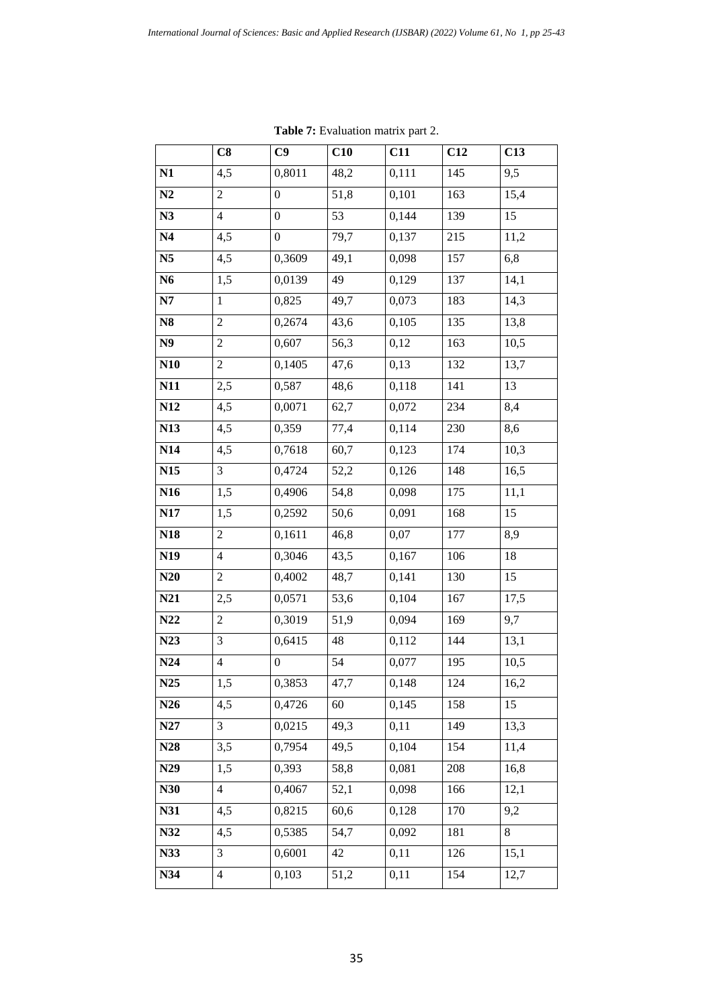|                | C8               | C9               | C10  | C11                | C12 | C13    |
|----------------|------------------|------------------|------|--------------------|-----|--------|
| N1             | 4,5              | 0,8011           | 48,2 | 0,111              | 145 | 9,5    |
| N2             | $\overline{c}$   | $\mathbf{0}$     | 51,8 | 0,101              | 163 | 15,4   |
| N3             | $\overline{4}$   | $\boldsymbol{0}$ | 53   | 0,144              | 139 | 15     |
| N <sub>4</sub> | 4,5              | $\boldsymbol{0}$ | 79,7 | 0,137              | 215 | 11,2   |
| N <sub>5</sub> | 4,5              | 0,3609           | 49,1 | 0,098              | 157 | 6,8    |
| N6             | 1,5              | 0,0139           | 49   | 0,129              | 137 | 14,1   |
| N7             | $\mathbf{1}$     | 0,825            | 49,7 | 0,073              | 183 | 14,3   |
| N8             | $\mathbf{2}$     | 0,2674           | 43,6 | 0,105              | 135 | 13,8   |
| N9             | $\mathbf{2}$     | 0,607            | 56,3 | 0,12               | 163 | 10,5   |
| N10            | $\boldsymbol{2}$ | 0,1405           | 47,6 | 0,13               | 132 | 13,7   |
| N11            | 2,5              | 0,587            | 48,6 | 0,118              | 141 | 13     |
| N12            | 4,5              | 0,0071           | 62,7 | 0,072              | 234 | 8,4    |
| N13            | 4,5              | 0,359            | 77,4 | 0,114              | 230 | 8,6    |
| N14            | 4,5              | 0,7618           | 60,7 | 0,123              | 174 | 10,3   |
| N15            | 3                | 0,4724           | 52,2 | 0,126              | 148 | 16,5   |
| N16            | $1,\overline{5}$ | 0,4906           | 54,8 | 0,098              | 175 | 11,1   |
| N17            | 1,5              | 0,2592           | 50,6 | 0,091              | 168 | 15     |
| <b>N18</b>     | $\overline{2}$   | 0,1611           | 46,8 | 0,07               | 177 | 8,9    |
| N19            | $\overline{4}$   | 0,3046           | 43,5 | 0,167              | 106 | $18\,$ |
| N20            | $\sqrt{2}$       | 0,4002           | 48,7 | 0,141              | 130 | 15     |
| N21            | 2,5              | 0,0571           | 53,6 | 0,104              | 167 | 17,5   |
| N22            | $\sqrt{2}$       | 0,3019           | 51,9 | 0,094              | 169 | 9,7    |
| N23            | 3                | 0,6415           | 48   | 0,112              | 144 | 13,1   |
| N24            | $\overline{4}$   | $\boldsymbol{0}$ | 54   | 0,077              | 195 | 10,5   |
| N25            | 1,5              | 0,3853           | 47,7 | $\overline{0,}148$ | 124 | 16,2   |
| N26            | 4,5              | 0,4726           | 60   | 0,145              | 158 | 15     |
| N27            | 3                | 0,0215           | 49,3 | $\overline{0,}11$  | 149 | 13,3   |
| N28            | 3,5              | 0,7954           | 49,5 | 0,104              | 154 | 11,4   |
| N29            | 1,5              | 0,393            | 58,8 | 0,081              | 208 | 16,8   |
| N30            | $\overline{4}$   | 0,4067           | 52,1 | 0,098              | 166 | 12,1   |
| N31            | 4,5              | 0,8215           | 60,6 | 0,128              | 170 | 9,2    |
| N32            | 4,5              | 0,5385           | 54,7 | 0,092              | 181 | 8      |
| N33            | 3                | 0,6001           | 42   | 0,11               | 126 | 15,1   |
| N34            | $\overline{4}$   | 0,103            | 51,2 | 0,11               | 154 | 12,7   |

**Table 7:** Evaluation matrix part 2.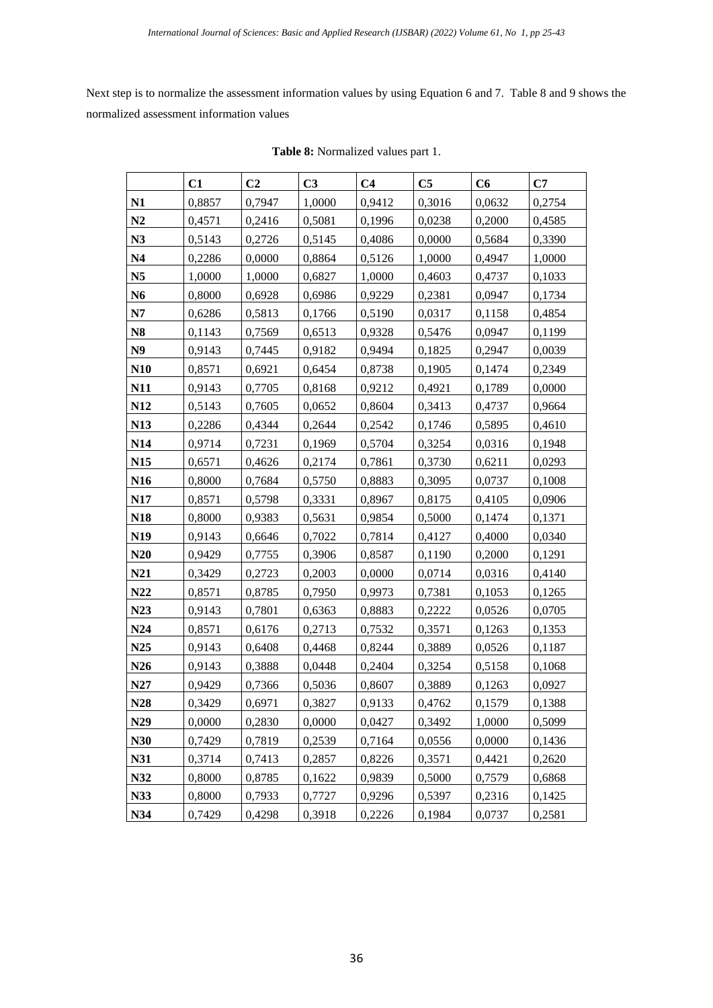Next step is to normalize the assessment information values by using Equation 6 and 7. Table 8 and 9 shows the normalized assessment information values

|                 | C1     | C <sub>2</sub> | C <sub>3</sub> | C <sub>4</sub> | C5     | C6     | C7     |
|-----------------|--------|----------------|----------------|----------------|--------|--------|--------|
| N1              | 0,8857 | 0,7947         | 1,0000         | 0,9412         | 0,3016 | 0,0632 | 0,2754 |
| N2              | 0,4571 | 0,2416         | 0,5081         | 0,1996         | 0,0238 | 0,2000 | 0,4585 |
| N3              | 0,5143 | 0,2726         | 0,5145         | 0,4086         | 0,0000 | 0,5684 | 0,3390 |
| N <sub>4</sub>  | 0,2286 | 0,0000         | 0,8864         | 0,5126         | 1,0000 | 0,4947 | 1,0000 |
| N <sub>5</sub>  | 1,0000 | 1,0000         | 0,6827         | 1,0000         | 0,4603 | 0,4737 | 0,1033 |
| N6              | 0,8000 | 0,6928         | 0,6986         | 0,9229         | 0,2381 | 0,0947 | 0,1734 |
| N7              | 0,6286 | 0,5813         | 0,1766         | 0,5190         | 0,0317 | 0,1158 | 0,4854 |
| N <sub>8</sub>  | 0,1143 | 0,7569         | 0,6513         | 0,9328         | 0,5476 | 0,0947 | 0,1199 |
| N <sub>9</sub>  | 0,9143 | 0,7445         | 0,9182         | 0,9494         | 0,1825 | 0,2947 | 0,0039 |
| N10             | 0,8571 | 0,6921         | 0,6454         | 0,8738         | 0,1905 | 0,1474 | 0,2349 |
| N11             | 0,9143 | 0,7705         | 0,8168         | 0,9212         | 0,4921 | 0,1789 | 0,0000 |
| N12             | 0,5143 | 0,7605         | 0,0652         | 0,8604         | 0,3413 | 0,4737 | 0,9664 |
| N13             | 0,2286 | 0,4344         | 0,2644         | 0,2542         | 0,1746 | 0,5895 | 0,4610 |
| N14             | 0,9714 | 0,7231         | 0,1969         | 0,5704         | 0,3254 | 0,0316 | 0,1948 |
| N <sub>15</sub> | 0,6571 | 0,4626         | 0,2174         | 0,7861         | 0,3730 | 0,6211 | 0,0293 |
| N16             | 0,8000 | 0,7684         | 0,5750         | 0,8883         | 0,3095 | 0,0737 | 0,1008 |
| N17             | 0,8571 | 0,5798         | 0,3331         | 0,8967         | 0,8175 | 0,4105 | 0,0906 |
| N18             | 0,8000 | 0,9383         | 0,5631         | 0,9854         | 0,5000 | 0,1474 | 0,1371 |
| N19             | 0,9143 | 0,6646         | 0,7022         | 0,7814         | 0,4127 | 0,4000 | 0,0340 |
| N20             | 0,9429 | 0,7755         | 0,3906         | 0,8587         | 0,1190 | 0,2000 | 0,1291 |
| N21             | 0,3429 | 0,2723         | 0,2003         | 0,0000         | 0,0714 | 0,0316 | 0,4140 |
| N22             | 0,8571 | 0,8785         | 0,7950         | 0,9973         | 0,7381 | 0,1053 | 0,1265 |
| N23             | 0,9143 | 0,7801         | 0,6363         | 0,8883         | 0,2222 | 0,0526 | 0,0705 |
| N24             | 0,8571 | 0,6176         | 0,2713         | 0,7532         | 0,3571 | 0,1263 | 0,1353 |
| N25             | 0,9143 | 0,6408         | 0,4468         | 0,8244         | 0,3889 | 0,0526 | 0,1187 |
| N26             | 0,9143 | 0,3888         | 0,0448         | 0,2404         | 0,3254 | 0,5158 | 0,1068 |
| N27             | 0,9429 | 0,7366         | 0,5036         | 0,8607         | 0,3889 | 0,1263 | 0,0927 |
| N28             | 0,3429 | 0,6971         | 0,3827         | 0,9133         | 0,4762 | 0,1579 | 0,1388 |
| N29             | 0,0000 | 0,2830         | 0,0000         | 0,0427         | 0,3492 | 1,0000 | 0,5099 |
| <b>N30</b>      | 0,7429 | 0,7819         | 0,2539         | 0,7164         | 0,0556 | 0,0000 | 0,1436 |
| N31             | 0,3714 | 0,7413         | 0,2857         | 0,8226         | 0,3571 | 0,4421 | 0,2620 |
| N32             | 0,8000 | 0,8785         | 0,1622         | 0,9839         | 0,5000 | 0,7579 | 0,6868 |
| N33             | 0,8000 | 0,7933         | 0,7727         | 0,9296         | 0,5397 | 0,2316 | 0,1425 |
| N34             | 0,7429 | 0,4298         | 0,3918         | 0,2226         | 0,1984 | 0,0737 | 0,2581 |

**Table 8:** Normalized values part 1.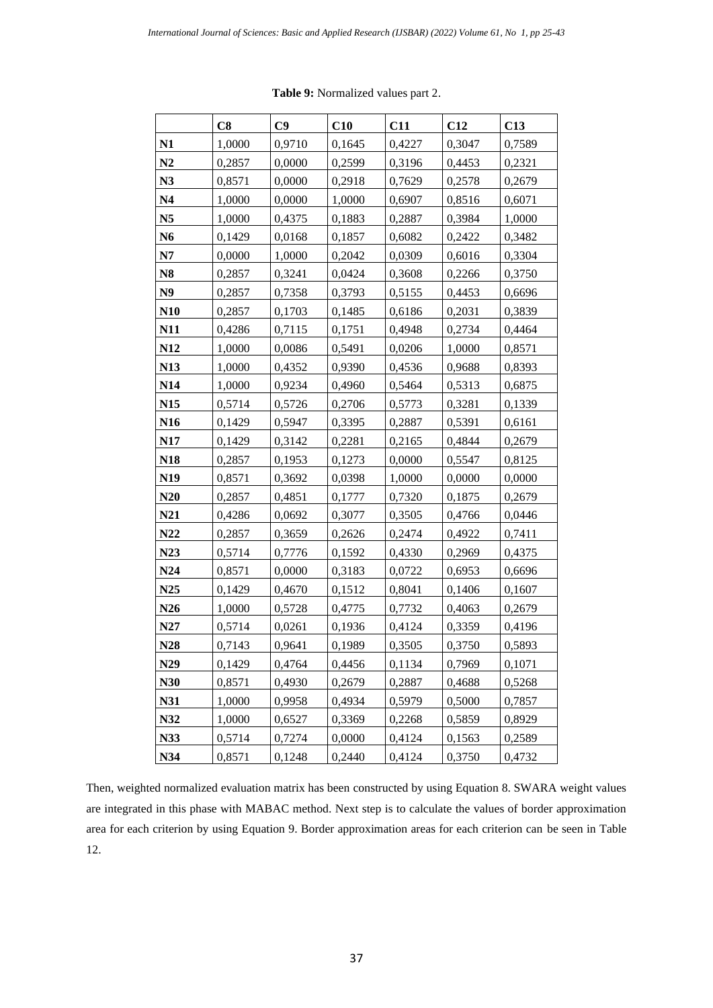|                 | C8     | C9     | C10    | C11    | C12    | C13    |
|-----------------|--------|--------|--------|--------|--------|--------|
| N1              | 1,0000 | 0,9710 | 0,1645 | 0,4227 | 0,3047 | 0,7589 |
| N2              | 0,2857 | 0,0000 | 0,2599 | 0,3196 | 0,4453 | 0,2321 |
| N3              | 0,8571 | 0,0000 | 0,2918 | 0,7629 | 0,2578 | 0,2679 |
| N <sub>4</sub>  | 1,0000 | 0,0000 | 1,0000 | 0,6907 | 0,8516 | 0,6071 |
| N <sub>5</sub>  | 1,0000 | 0,4375 | 0,1883 | 0,2887 | 0,3984 | 1,0000 |
| N <sub>6</sub>  | 0,1429 | 0,0168 | 0,1857 | 0,6082 | 0,2422 | 0,3482 |
| N7              | 0,0000 | 1,0000 | 0,2042 | 0,0309 | 0,6016 | 0,3304 |
| N8              | 0,2857 | 0,3241 | 0,0424 | 0,3608 | 0,2266 | 0,3750 |
| N9              | 0,2857 | 0,7358 | 0,3793 | 0,5155 | 0,4453 | 0,6696 |
| N <sub>10</sub> | 0,2857 | 0,1703 | 0,1485 | 0,6186 | 0,2031 | 0,3839 |
| N11             | 0,4286 | 0,7115 | 0,1751 | 0,4948 | 0,2734 | 0,4464 |
| N12             | 1,0000 | 0,0086 | 0,5491 | 0,0206 | 1,0000 | 0,8571 |
| N13             | 1,0000 | 0,4352 | 0,9390 | 0,4536 | 0,9688 | 0,8393 |
| N14             | 1,0000 | 0,9234 | 0,4960 | 0,5464 | 0,5313 | 0,6875 |
| N <sub>15</sub> | 0,5714 | 0,5726 | 0,2706 | 0,5773 | 0,3281 | 0,1339 |
| N16             | 0,1429 | 0,5947 | 0,3395 | 0,2887 | 0,5391 | 0,6161 |
| N17             | 0,1429 | 0,3142 | 0,2281 | 0,2165 | 0,4844 | 0,2679 |
| N18             | 0,2857 | 0,1953 | 0,1273 | 0,0000 | 0,5547 | 0,8125 |
| N19             | 0,8571 | 0,3692 | 0,0398 | 1,0000 | 0,0000 | 0,0000 |
| N20             | 0,2857 | 0,4851 | 0,1777 | 0,7320 | 0,1875 | 0,2679 |
| N21             | 0,4286 | 0,0692 | 0,3077 | 0,3505 | 0,4766 | 0,0446 |
| N22             | 0,2857 | 0,3659 | 0,2626 | 0,2474 | 0,4922 | 0,7411 |
| N23             | 0,5714 | 0,7776 | 0,1592 | 0,4330 | 0,2969 | 0,4375 |
| N24             | 0,8571 | 0,0000 | 0,3183 | 0,0722 | 0,6953 | 0,6696 |
| N25             | 0,1429 | 0,4670 | 0,1512 | 0,8041 | 0,1406 | 0,1607 |
| N26             | 1,0000 | 0,5728 | 0,4775 | 0,7732 | 0,4063 | 0,2679 |
| N27             | 0,5714 | 0,0261 | 0,1936 | 0,4124 | 0,3359 | 0,4196 |
| N28             | 0,7143 | 0,9641 | 0,1989 | 0,3505 | 0,3750 | 0,5893 |
| N29             | 0,1429 | 0,4764 | 0,4456 | 0,1134 | 0,7969 | 0,1071 |
| N30             | 0,8571 | 0,4930 | 0,2679 | 0,2887 | 0,4688 | 0,5268 |
| N31             | 1,0000 | 0,9958 | 0,4934 | 0,5979 | 0,5000 | 0,7857 |
| N32             | 1,0000 | 0,6527 | 0,3369 | 0,2268 | 0,5859 | 0,8929 |
| N33             | 0,5714 | 0,7274 | 0,0000 | 0,4124 | 0,1563 | 0,2589 |
| N34             | 0,8571 | 0,1248 | 0,2440 | 0,4124 | 0,3750 | 0,4732 |

**Table 9:** Normalized values part 2.

Then, weighted normalized evaluation matrix has been constructed by using Equation 8. SWARA weight values are integrated in this phase with MABAC method. Next step is to calculate the values of border approximation area for each criterion by using Equation 9. Border approximation areas for each criterion can be seen in Table 12.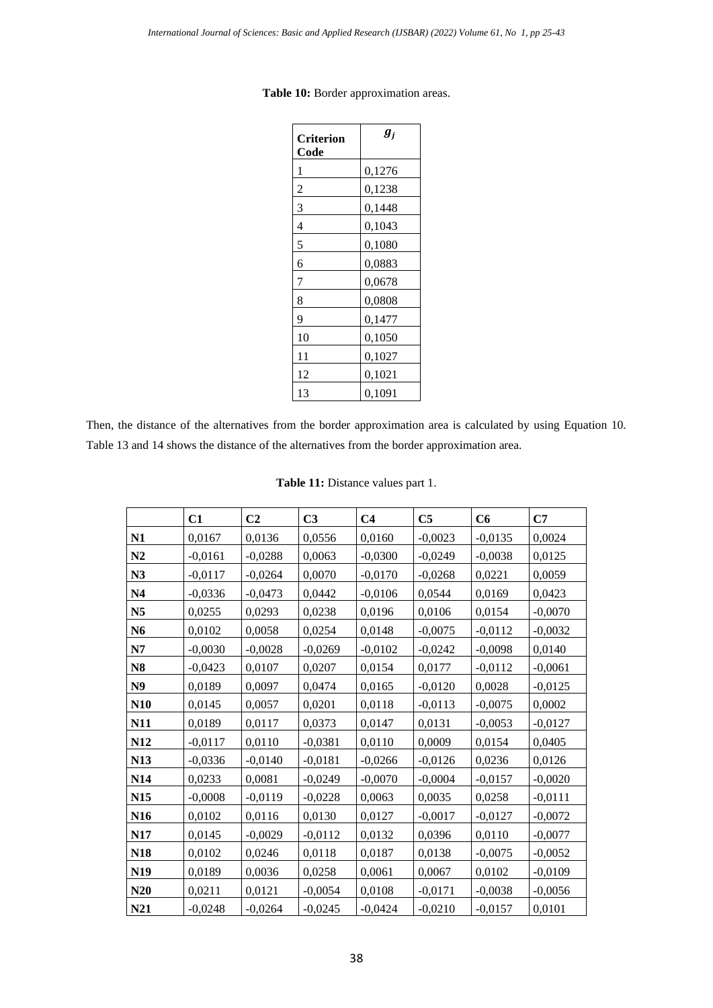| Criterion      | $g_i$  |
|----------------|--------|
| Code           |        |
| 1              | 0,1276 |
| $\overline{c}$ | 0,1238 |
| 3              | 0,1448 |
| 4              | 0,1043 |
| 5              | 0,1080 |
| 6              | 0,0883 |
| $\overline{7}$ | 0,0678 |
| 8              | 0,0808 |
| 9              | 0,1477 |
| 10             | 0,1050 |
| 11             | 0,1027 |
| 12             | 0,1021 |
| 13             | 0,1091 |

**Table 10:** Border approximation areas.

Then, the distance of the alternatives from the border approximation area is calculated by using Equation 10. Table 13 and 14 shows the distance of the alternatives from the border approximation area.

|                 | C1        | C <sub>2</sub> | C <sub>3</sub> | C <sub>4</sub> | C <sub>5</sub> | C6        | C7        |
|-----------------|-----------|----------------|----------------|----------------|----------------|-----------|-----------|
| N1              | 0,0167    | 0,0136         | 0,0556         | 0,0160         | $-0,0023$      | $-0,0135$ | 0,0024    |
| N2              | $-0,0161$ | $-0,0288$      | 0,0063         | $-0,0300$      | $-0,0249$      | $-0,0038$ | 0,0125    |
| N3              | $-0,0117$ | $-0,0264$      | 0,0070         | $-0,0170$      | $-0,0268$      | 0,0221    | 0,0059    |
| N <sub>4</sub>  | $-0,0336$ | $-0,0473$      | 0,0442         | $-0,0106$      | 0,0544         | 0,0169    | 0,0423    |
| N <sub>5</sub>  | 0,0255    | 0,0293         | 0,0238         | 0,0196         | 0,0106         | 0,0154    | $-0,0070$ |
| N6              | 0,0102    | 0,0058         | 0,0254         | 0,0148         | $-0,0075$      | $-0,0112$ | $-0,0032$ |
| N7              | $-0,0030$ | $-0,0028$      | $-0,0269$      | $-0,0102$      | $-0,0242$      | $-0,0098$ | 0,0140    |
| N8              | $-0,0423$ | 0,0107         | 0,0207         | 0,0154         | 0,0177         | $-0,0112$ | $-0,0061$ |
| N9              | 0,0189    | 0,0097         | 0,0474         | 0,0165         | $-0,0120$      | 0,0028    | $-0,0125$ |
| N10             | 0,0145    | 0,0057         | 0,0201         | 0,0118         | $-0,0113$      | $-0,0075$ | 0,0002    |
| <b>N11</b>      | 0,0189    | 0,0117         | 0,0373         | 0,0147         | 0,0131         | $-0,0053$ | $-0,0127$ |
| N12             | $-0,0117$ | 0,0110         | $-0,0381$      | 0,0110         | 0,0009         | 0,0154    | 0,0405    |
| N13             | $-0,0336$ | $-0,0140$      | $-0,0181$      | $-0,0266$      | $-0,0126$      | 0,0236    | 0,0126    |
| N14             | 0,0233    | 0,0081         | $-0,0249$      | $-0,0070$      | $-0,0004$      | $-0,0157$ | $-0,0020$ |
| N15             | $-0,0008$ | $-0,0119$      | $-0,0228$      | 0,0063         | 0,0035         | 0,0258    | $-0,0111$ |
| N16             | 0,0102    | 0,0116         | 0,0130         | 0,0127         | $-0,0017$      | $-0,0127$ | $-0,0072$ |
| N17             | 0,0145    | $-0,0029$      | $-0,0112$      | 0,0132         | 0,0396         | 0,0110    | $-0,0077$ |
| N18             | 0,0102    | 0,0246         | 0,0118         | 0,0187         | 0,0138         | $-0,0075$ | $-0,0052$ |
| N <sub>19</sub> | 0,0189    | 0,0036         | 0,0258         | 0,0061         | 0,0067         | 0,0102    | $-0,0109$ |
| N20             | 0,0211    | 0,0121         | $-0,0054$      | 0,0108         | $-0,0171$      | $-0,0038$ | $-0,0056$ |
| N21             | $-0,0248$ | $-0,0264$      | $-0,0245$      | $-0,0424$      | $-0,0210$      | $-0,0157$ | 0,0101    |

| Table 11: Distance values part 1. |  |  |  |
|-----------------------------------|--|--|--|
|-----------------------------------|--|--|--|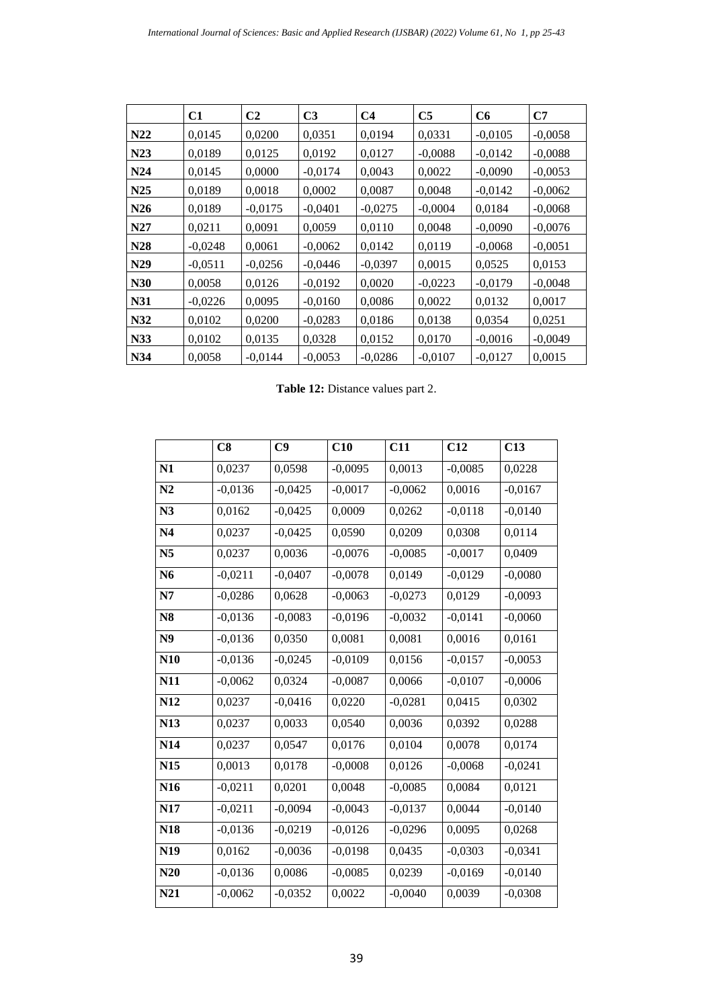|                 | C1        | C <sub>2</sub> | C <sub>3</sub> | C <sub>4</sub> | C <sub>5</sub> | C <sub>6</sub> | C7        |
|-----------------|-----------|----------------|----------------|----------------|----------------|----------------|-----------|
| N <sub>22</sub> | 0,0145    | 0,0200         | 0,0351         | 0,0194         | 0,0331         | $-0,0105$      | $-0,0058$ |
| N <sub>23</sub> | 0,0189    | 0,0125         | 0,0192         | 0,0127         | $-0,0088$      | $-0,0142$      | $-0,0088$ |
| N24             | 0,0145    | 0,0000         | $-0,0174$      | 0,0043         | 0,0022         | $-0,0090$      | $-0,0053$ |
| N <sub>25</sub> | 0,0189    | 0,0018         | 0,0002         | 0,0087         | 0,0048         | $-0,0142$      | $-0,0062$ |
| N26             | 0,0189    | $-0,0175$      | $-0,0401$      | $-0,0275$      | $-0,0004$      | 0,0184         | $-0,0068$ |
| N27             | 0,0211    | 0,0091         | 0,0059         | 0,0110         | 0,0048         | $-0,0090$      | $-0,0076$ |
| N <sub>28</sub> | $-0,0248$ | 0,0061         | $-0,0062$      | 0,0142         | 0,0119         | $-0,0068$      | $-0,0051$ |
| N29             | $-0,0511$ | $-0,0256$      | $-0,0446$      | $-0,0397$      | 0,0015         | 0,0525         | 0,0153    |
| <b>N30</b>      | 0,0058    | 0,0126         | $-0.0192$      | 0,0020         | $-0,0223$      | $-0,0179$      | $-0,0048$ |
| <b>N31</b>      | $-0,0226$ | 0,0095         | $-0,0160$      | 0,0086         | 0,0022         | 0,0132         | 0,0017    |
| N32             | 0,0102    | 0,0200         | $-0,0283$      | 0,0186         | 0,0138         | 0,0354         | 0,0251    |
| N33             | 0,0102    | 0,0135         | 0,0328         | 0,0152         | 0,0170         | $-0,0016$      | $-0,0049$ |
| N34             | 0,0058    | $-0.0144$      | $-0.0053$      | $-0.0286$      | $-0.0107$      | $-0.0127$      | 0,0015    |

Table 12: Distance values part 2.

|                 | C8        | C9        | C10       | C11       | C12       | C13       |
|-----------------|-----------|-----------|-----------|-----------|-----------|-----------|
| N1              | 0,0237    | 0,0598    | $-0,0095$ | 0,0013    | $-0,0085$ | 0,0228    |
| N2              | $-0,0136$ | $-0,0425$ | $-0,0017$ | $-0,0062$ | 0,0016    | $-0,0167$ |
| N3              | 0,0162    | $-0,0425$ | 0,0009    | 0,0262    | $-0,0118$ | $-0,0140$ |
| N <sub>4</sub>  | 0,0237    | $-0,0425$ | 0,0590    | 0,0209    | 0,0308    | 0,0114    |
| N <sub>5</sub>  | 0,0237    | 0,0036    | $-0,0076$ | $-0,0085$ | $-0,0017$ | 0,0409    |
| N6              | $-0,0211$ | $-0,0407$ | $-0,0078$ | 0,0149    | $-0,0129$ | $-0,0080$ |
| ${\bf N7}$      | $-0,0286$ | 0,0628    | $-0,0063$ | $-0,0273$ | 0,0129    | $-0,0093$ |
| N8              | $-0,0136$ | $-0,0083$ | $-0,0196$ | $-0,0032$ | $-0,0141$ | $-0,0060$ |
| N9              | $-0,0136$ | 0,0350    | 0,0081    | 0,0081    | 0,0016    | 0,0161    |
| N10             | $-0,0136$ | $-0,0245$ | $-0,0109$ | 0,0156    | $-0,0157$ | $-0,0053$ |
| <b>N11</b>      | $-0,0062$ | 0,0324    | $-0,0087$ | 0,0066    | $-0,0107$ | $-0,0006$ |
| N12             | 0,0237    | $-0,0416$ | 0,0220    | $-0,0281$ | 0,0415    | 0,0302    |
| N13             | 0,0237    | 0,0033    | 0,0540    | 0,0036    | 0,0392    | 0,0288    |
| N14             | 0,0237    | 0,0547    | 0,0176    | 0,0104    | 0,0078    | 0,0174    |
| N15             | 0,0013    | 0,0178    | $-0,0008$ | 0,0126    | $-0,0068$ | $-0,0241$ |
| N16             | $-0,0211$ | 0,0201    | 0,0048    | $-0,0085$ | 0,0084    | 0,0121    |
| N17             | $-0,0211$ | $-0,0094$ | $-0,0043$ | $-0,0137$ | 0,0044    | $-0,0140$ |
| N18             | $-0,0136$ | $-0,0219$ | $-0,0126$ | $-0,0296$ | 0,0095    | 0,0268    |
| N <sub>19</sub> | 0,0162    | $-0,0036$ | $-0,0198$ | 0,0435    | $-0,0303$ | $-0,0341$ |
| N20             | $-0,0136$ | 0,0086    | $-0,0085$ | 0,0239    | $-0,0169$ | $-0,0140$ |
| N21             | $-0,0062$ | $-0,0352$ | 0,0022    | $-0,0040$ | 0,0039    | $-0,0308$ |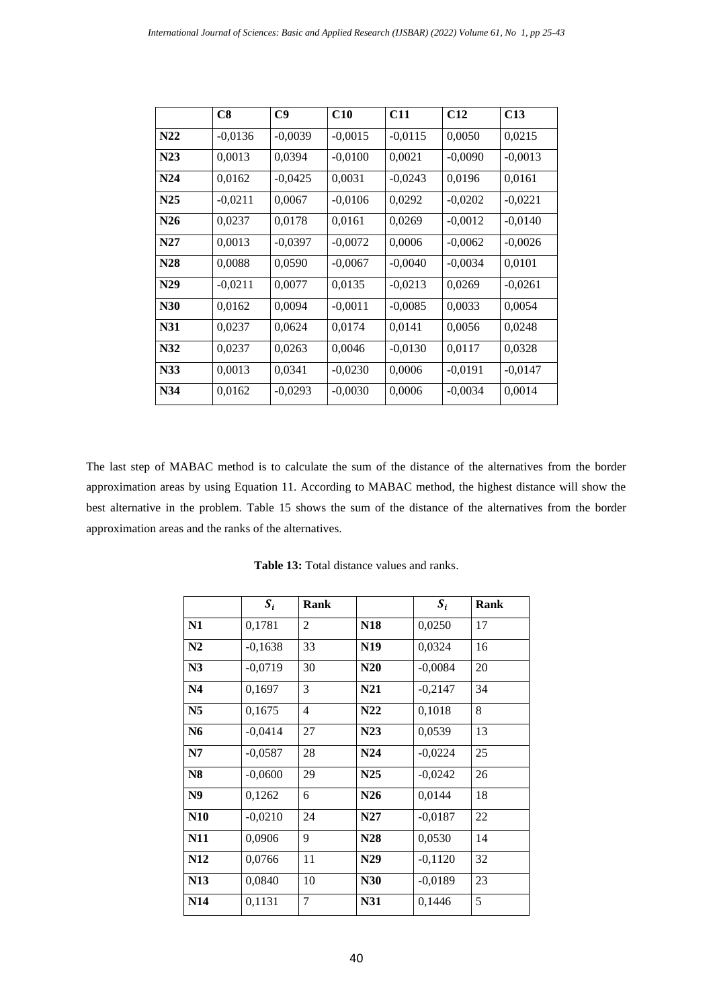|                 | C8        | C9        | C10       | <b>C11</b> | <b>C12</b> | C13       |
|-----------------|-----------|-----------|-----------|------------|------------|-----------|
| N <sub>22</sub> | $-0.0136$ | $-0,0039$ | $-0,0015$ | $-0.0115$  | 0,0050     | 0,0215    |
| N <sub>23</sub> | 0.0013    | 0,0394    | $-0.0100$ | 0,0021     | $-0,0090$  | $-0,0013$ |
| N24             | 0,0162    | $-0.0425$ | 0,0031    | $-0,0243$  | 0,0196     | 0,0161    |
| N <sub>25</sub> | $-0,0211$ | 0,0067    | $-0.0106$ | 0,0292     | $-0,0202$  | $-0,0221$ |
| N26             | 0,0237    | 0,0178    | 0,0161    | 0,0269     | $-0,0012$  | $-0.0140$ |
| N <sub>27</sub> | 0,0013    | $-0,0397$ | $-0,0072$ | 0,0006     | $-0,0062$  | $-0,0026$ |
| N <sub>28</sub> | 0,0088    | 0,0590    | $-0,0067$ | $-0,0040$  | $-0,0034$  | 0,0101    |
| N29             | $-0.0211$ | 0,0077    | 0,0135    | $-0,0213$  | 0,0269     | $-0,0261$ |
| N30             | 0,0162    | 0.0094    | $-0.0011$ | $-0,0085$  | 0,0033     | 0,0054    |
| <b>N31</b>      | 0,0237    | 0,0624    | 0,0174    | 0,0141     | 0,0056     | 0,0248    |
| N32             | 0,0237    | 0,0263    | 0,0046    | $-0.0130$  | 0,0117     | 0,0328    |
| N33             | 0,0013    | 0,0341    | $-0,0230$ | 0,0006     | $-0.0191$  | $-0.0147$ |
| N34             | 0,0162    | $-0,0293$ | $-0,0030$ | 0,0006     | $-0,0034$  | 0,0014    |

The last step of MABAC method is to calculate the sum of the distance of the alternatives from the border approximation areas by using Equation 11. According to MABAC method, the highest distance will show the best alternative in the problem. Table 15 shows the sum of the distance of the alternatives from the border approximation areas and the ranks of the alternatives.

|                | $S_i$     | Rank           |                 | $S_i$     | Rank |
|----------------|-----------|----------------|-----------------|-----------|------|
| N1             | 0,1781    | $\overline{2}$ | N18             | 0,0250    | 17   |
| N2             | $-0,1638$ | 33             | N <sub>19</sub> | 0,0324    | 16   |
| N3             | $-0,0719$ | 30             | N20             | $-0,0084$ | 20   |
| N <sub>4</sub> | 0,1697    | 3              | N21             | $-0,2147$ | 34   |
| N <sub>5</sub> | 0,1675    | 4              | N <sub>22</sub> | 0,1018    | 8    |
| N6             | $-0,0414$ | 27             | N23             | 0,0539    | 13   |
| N7             | $-0,0587$ | 28             | N24             | $-0,0224$ | 25   |
| N <sub>8</sub> | $-0,0600$ | 29             | N25             | $-0,0242$ | 26   |
| N9             | 0,1262    | 6              | N26             | 0,0144    | 18   |
| N10            | $-0,0210$ | 24             | N27             | $-0,0187$ | 22   |
| N11            | 0,0906    | 9              | <b>N28</b>      | 0,0530    | 14   |
| N12            | 0,0766    | 11             | N29             | $-0,1120$ | 32   |
| <b>N13</b>     | 0,0840    | 10             | <b>N30</b>      | $-0,0189$ | 23   |
| N14            | 0,1131    | 7              | N31             | 0,1446    | 5    |

**Table 13:** Total distance values and ranks.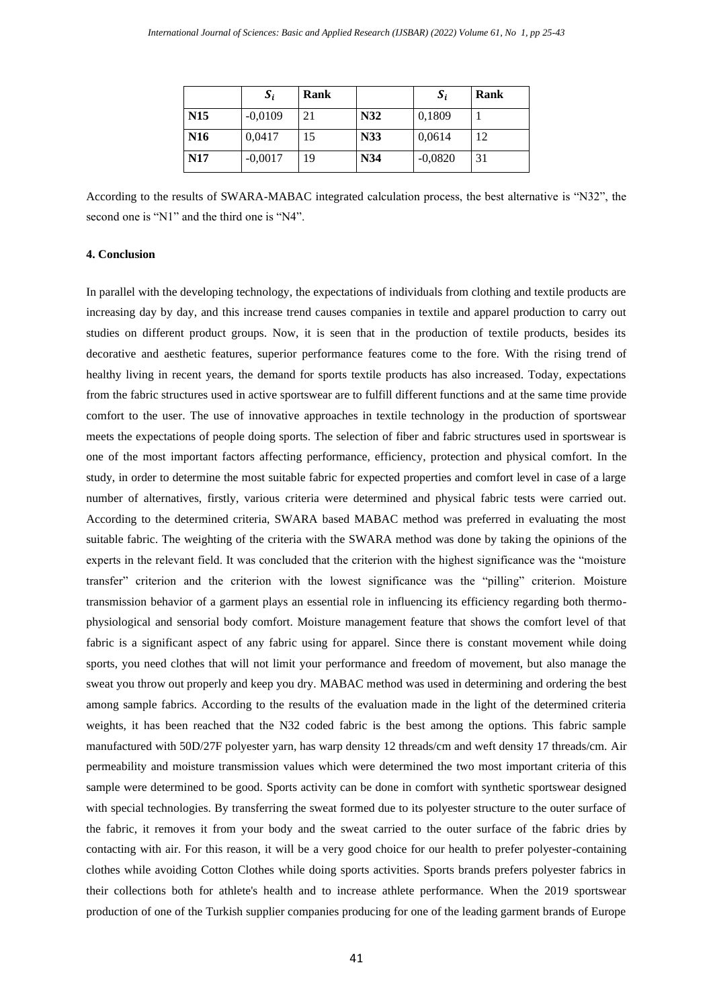|                 | $S_i$     | Rank |     | $S_i$     | Rank |
|-----------------|-----------|------|-----|-----------|------|
| <b>N15</b>      | $-0,0109$ | 21   | N32 | 0,1809    |      |
| N <sub>16</sub> | 0,0417    | 15   | N33 | 0,0614    | 12   |
| <b>N17</b>      | $-0,0017$ | 19   | N34 | $-0,0820$ | 31   |

According to the results of SWARA-MABAC integrated calculation process, the best alternative is "N32", the second one is "N1" and the third one is "N4".

## **4. Conclusion**

In parallel with the developing technology, the expectations of individuals from clothing and textile products are increasing day by day, and this increase trend causes companies in textile and apparel production to carry out studies on different product groups. Now, it is seen that in the production of textile products, besides its decorative and aesthetic features, superior performance features come to the fore. With the rising trend of healthy living in recent years, the demand for sports textile products has also increased. Today, expectations from the fabric structures used in active sportswear are to fulfill different functions and at the same time provide comfort to the user. The use of innovative approaches in textile technology in the production of sportswear meets the expectations of people doing sports. The selection of fiber and fabric structures used in sportswear is one of the most important factors affecting performance, efficiency, protection and physical comfort. In the study, in order to determine the most suitable fabric for expected properties and comfort level in case of a large number of alternatives, firstly, various criteria were determined and physical fabric tests were carried out. According to the determined criteria, SWARA based MABAC method was preferred in evaluating the most suitable fabric. The weighting of the criteria with the SWARA method was done by taking the opinions of the experts in the relevant field. It was concluded that the criterion with the highest significance was the "moisture transfer" criterion and the criterion with the lowest significance was the "pilling" criterion. Moisture transmission behavior of a garment plays an essential role in influencing its efficiency regarding both thermophysiological and sensorial body comfort. Moisture management feature that shows the comfort level of that fabric is a significant aspect of any fabric using for apparel. Since there is constant movement while doing sports, you need clothes that will not limit your performance and freedom of movement, but also manage the sweat you throw out properly and keep you dry. MABAC method was used in determining and ordering the best among sample fabrics. According to the results of the evaluation made in the light of the determined criteria weights, it has been reached that the N32 coded fabric is the best among the options. This fabric sample manufactured with 50D/27F polyester yarn, has warp density 12 threads/cm and weft density 17 threads/cm. Air permeability and moisture transmission values which were determined the two most important criteria of this sample were determined to be good. Sports activity can be done in comfort with synthetic sportswear designed with special technologies. By transferring the sweat formed due to its polyester structure to the outer surface of the fabric, it removes it from your body and the sweat carried to the outer surface of the fabric dries by contacting with air. For this reason, it will be a very good choice for our health to prefer polyester-containing clothes while avoiding Cotton Clothes while doing sports activities. Sports brands prefers polyester fabrics in their collections both for athlete's health and to increase athlete performance. When the 2019 sportswear production of one of the Turkish supplier companies producing for one of the leading garment brands of Europe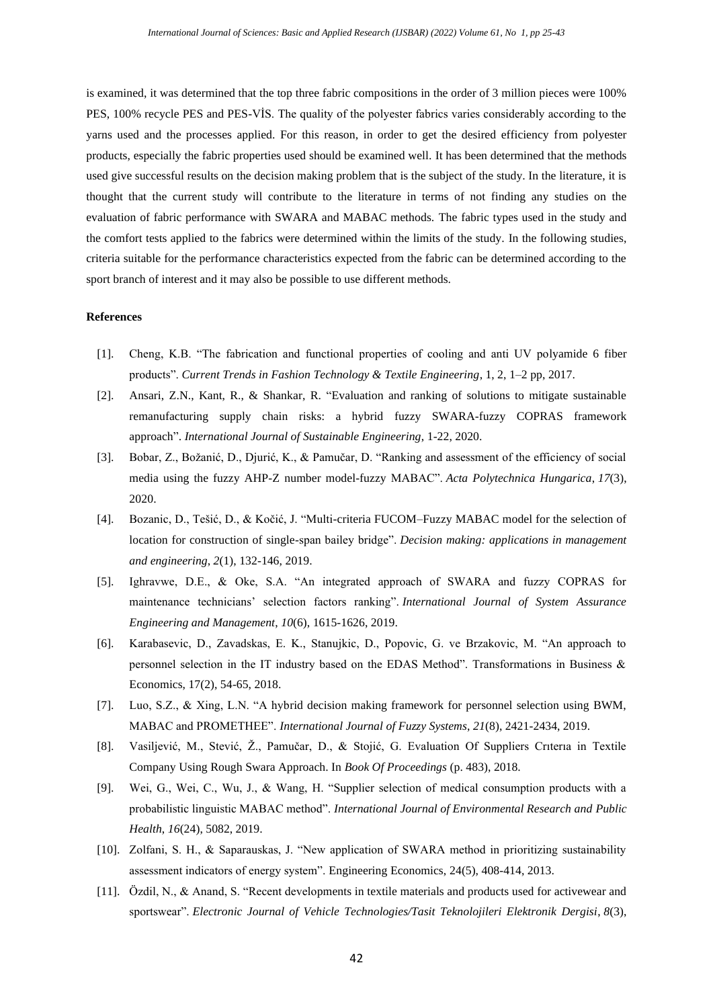is examined, it was determined that the top three fabric compositions in the order of 3 million pieces were 100% PES, 100% recycle PES and PES-VİS. The quality of the polyester fabrics varies considerably according to the yarns used and the processes applied. For this reason, in order to get the desired efficiency from polyester products, especially the fabric properties used should be examined well. It has been determined that the methods used give successful results on the decision making problem that is the subject of the study. In the literature, it is thought that the current study will contribute to the literature in terms of not finding any studies on the evaluation of fabric performance with SWARA and MABAC methods. The fabric types used in the study and the comfort tests applied to the fabrics were determined within the limits of the study. In the following studies, criteria suitable for the performance characteristics expected from the fabric can be determined according to the sport branch of interest and it may also be possible to use different methods.

#### **References**

- [1]. Cheng, K.B. "The fabrication and functional properties of cooling and anti UV polyamide 6 fiber products". *Current Trends in Fashion Technology & Textile Engineering*, 1, 2, 1–2 pp, 2017.
- [2]. Ansari, Z.N., Kant, R., & Shankar, R. "Evaluation and ranking of solutions to mitigate sustainable remanufacturing supply chain risks: a hybrid fuzzy SWARA-fuzzy COPRAS framework approach". *International Journal of Sustainable Engineering*, 1-22, 2020.
- [3]. Bobar, Z., Božanić, D., Djurić, K., & Pamučar, D. "Ranking and assessment of the efficiency of social media using the fuzzy AHP-Z number model-fuzzy MABAC". *Acta Polytechnica Hungarica*, *17*(3), 2020.
- [4]. Bozanic, D., Tešić, D., & Kočić, J. "Multi-criteria FUCOM–Fuzzy MABAC model for the selection of location for construction of single-span bailey bridge". *Decision making: applications in management and engineering*, *2*(1), 132-146, 2019.
- [5]. Ighravwe, D.E., & Oke, S.A. "An integrated approach of SWARA and fuzzy COPRAS for maintenance technicians' selection factors ranking". *International Journal of System Assurance Engineering and Management*, *10*(6), 1615-1626, 2019.
- [6]. Karabasevic, D., Zavadskas, E. K., Stanujkic, D., Popovic, G. ve Brzakovic, M. "An approach to personnel selection in the IT industry based on the EDAS Method". Transformations in Business & Economics, 17(2), 54-65, 2018.
- [7]. Luo, S.Z., & Xing, L.N. "A hybrid decision making framework for personnel selection using BWM, MABAC and PROMETHEE". *International Journal of Fuzzy Systems*, *21*(8), 2421-2434, 2019.
- [8]. Vasiljević, M., Stević, Ž., Pamučar, D., & Stojić, G. Evaluation Of Suppliers Crıterıa in Textile Company Using Rough Swara Approach. In *Book Of Proceedings* (p. 483), 2018.
- [9]. Wei, G., Wei, C., Wu, J., & Wang, H. "Supplier selection of medical consumption products with a probabilistic linguistic MABAC method". *International Journal of Environmental Research and Public Health*, *16*(24), 5082, 2019.
- [10]. Zolfani, S. H., & Saparauskas, J. "New application of SWARA method in prioritizing sustainability assessment indicators of energy system". Engineering Economics, 24(5), 408-414, 2013.
- [11]. Özdil, N., & Anand, S. "Recent developments in textile materials and products used for activewear and sportswear". *Electronic Journal of Vehicle Technologies/Tasit Teknolojileri Elektronik Dergisi*, *8*(3),